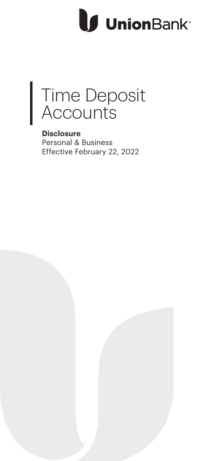# **J** UnionBank<sup>®</sup>



**Disclosure** Personal & Business Effective February 22, 2022

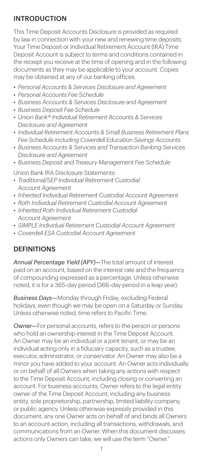## INTRODUCTION

This Time Deposit Accounts Disclosure is provided as required by law in connection with your new and renewing time deposits. Your Time Deposit or Individual Retirement Account (IRA) Time Deposit Account is subject to terms and conditions contained in the receipt you receive at the time of opening and in the following documents as they may be applicable to your account. Copies may be obtained at any of our banking offices.

- *Personal Accounts & Services Disclosure and Agreement*
- *Personal Accounts Fee Schedule*
- *Business Accounts & Services Disclosure and Agreement*
- *Business Deposit Fee Schedule*
- *Union Bank® Individual Retirement Accounts & Services Disclosure and Agreement*
- *Individual Retirement Accounts & Small Business Retirement Plans Fee Schedule including Coverdell Education Savings Accounts*
- *Business Accounts & Services and Transaction Banking Services Disclosure and Agreement*
- *Business Deposit and Treasury Management Fee Schedule*

Union Bank IRA Disclosure Statements:

- *Traditional/SEP Individual Retirement Custodial Account Agreement*
- *Inherited Individual Retirement Custodial Account Agreement*
- *Roth Individual Retirement Custodial Account Agreement*
- *Inherited Roth Individual Retirement Custodial Account Agreement*
- *SIMPLE Individual Retirement Custodial Account Agreement*
- *Coverdell ESA Custodial Account Agreement*

## **DEFINITIONS**

*Annual Percentage Yield (APY)—*The total amount of interest paid on an account, based on the interest rate and the frequency of compounding expressed as a percentage. Unless otherwise noted, it is for a 365-day period (366-day period in a leap year).

*Business Days—*Monday through Friday, excluding Federal holidays, even though we may be open on a Saturday or Sunday. Unless otherwise noted, time refers to Pacific Time.

*Owner—*For personal accounts, refers to the person or persons who hold an ownership interest in the Time Deposit Account. An Owner may be an individual or a joint tenant, or may be an individual acting only in a fiduciary capacity, such as a trustee, executor, administrator, or conservator. An Owner may also be a minor you have added to your account. An Owner acts individually or on behalf of all Owners when taking any actions with respect to the Time Deposit Account, including closing or converting an account. For business accounts, Owner refers to the legal entity owner of the Time Deposit Account, including any business entity, sole proprietorship, partnership, limited liability company, or public agency. Unless otherwise expressly provided in this document, any one Owner acts on behalf of and binds all Owners to an account action, including all transactions, withdrawals, and communications from an Owner. When this document discusses actions only Owners can take, we will use the term "Owner."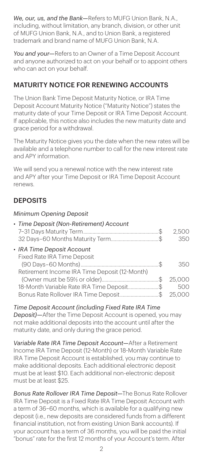*We, our, us, and the Bank—*Refers to MUFG Union Bank, N.A., including, without limitation, any branch, division, or other unit of MUFG Union Bank, N.A., and to Union Bank, a registered trademark and brand name of MUFG Union Bank, N.A.

*You and your—*Refers to an Owner of a Time Deposit Account and anyone authorized to act on your behalf or to appoint others who can act on your behalf.

## MATURITY NOTICE FOR RENEWING ACCOUNTS

The Union Bank Time Deposit Maturity Notice, or IRA Time Deposit Account Maturity Notice ("Maturity Notice") states the maturity date of your Time Deposit or IRA Time Deposit Account. If applicable, this notice also includes the new maturity date and grace period for a withdrawal.

The Maturity Notice gives you the date when the new rates will be available and a telephone number to call for the new interest rate and APY information.

We will send you a renewal notice with the new interest rate and APY after your Time Deposit or IRA Time Deposit Account renews.

# **DEPOSITS**

#### *Minimum Opening Deposit*

| • Time Deposit (Non-Retirement) Account       | 2.500<br>350 |
|-----------------------------------------------|--------------|
| • IRA Time Deposit Account                    |              |
| Fixed Rate IRA Time Deposit                   |              |
|                                               | 350          |
| Retirement Income IRA Time Deposit (12-Month) |              |
|                                               | 25,000       |
| 18-Month Variable Rate IRA Time Deposit\$     | 500          |
| Bonus Rate Rollover IRA Time Deposit\$        | 25,000       |

*Time Deposit Account (including Fixed Rate IRA Time Deposit)—*After the Time Deposit Account is opened, you may not make additional deposits into the account until after the maturity date, and only during the grace period.

*Variable Rate IRA Time Deposit Account—*After a Retirement Income IRA Time Deposit (12-Month) or 18-Month Variable Rate IRA Time Deposit Account is established, you may continue to make additional deposits. Each additional electronic deposit must be at least \$10. Each additional non-electronic deposit must be at least \$25.

*Bonus Rate Rollover IRA Time Deposit—*The Bonus Rate Rollover IRA Time Deposit is a Fixed Rate IRA Time Deposit Account with a term of 36–60 months, which is available for a qualifying new deposit (i.e., new deposits are considered funds from a different financial institution, not from existing Union Bank accounts). If your account has a term of 36 months, you will be paid the initial "bonus" rate for the first 12 months of your Account's term. After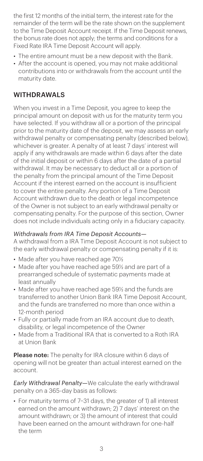the first 12 months of the initial term, the interest rate for the remainder of the term will be the rate shown on the supplement to the Time Deposit Account receipt. If the Time Deposit renews, the bonus rate does not apply; the terms and conditions for a Fixed Rate IRA Time Deposit Account will apply.

- The entire amount must be a new deposit with the Bank.
- After the account is opened, you may not make additional contributions into or withdrawals from the account until the maturity date.

## WITHDRAWALS

When you invest in a Time Deposit, you agree to keep the principal amount on deposit with us for the maturity term you have selected. If you withdraw all or a portion of the principal prior to the maturity date of the deposit, we may assess an early withdrawal penalty or compensating penalty (described below), whichever is greater. A penalty of at least 7 days' interest will apply if any withdrawals are made within 6 days after the date of the initial deposit or within 6 days after the date of a partial withdrawal. It may be necessary to deduct all or a portion of the penalty from the principal amount of the Time Deposit Account if the interest earned on the account is insufficient to cover the entire penalty. Any portion of a Time Deposit Account withdrawn due to the death or legal incompetence of the Owner is not subject to an early withdrawal penalty or compensating penalty. For the purpose of this section, Owner does not include individuals acting only in a fiduciary capacity.

#### *Withdrawals from IRA Time Deposit Accounts—*

A withdrawal from a IRA Time Deposit Account is not subject to the early withdrawal penalty or compensating penalty if it is:

- Made after you have reached age 70½
- Made after you have reached age 59½ and are part of a prearranged schedule of systematic payments made at least annually
- Made after you have reached age 59½ and the funds are transferred to another Union Bank IRA Time Deposit Account, and the funds are transferred no more than once within a 12-month period
- Fully or partially made from an IRA account due to death, disability, or legal incompetence of the Owner
- Made from a Traditional IRA that is converted to a Roth IRA at Union Bank

Please note: The penalty for IRA closure within 6 days of opening will not be greater than actual interest earned on the account.

*Early Withdrawal Penalty—*We calculate the early withdrawal penalty on a 365-day basis as follows:

*•* For maturity terms of 7–31 days, the greater of 1) all interest earned on the amount withdrawn; 2) 7 days' interest on the amount withdrawn; or 3) the amount of interest that could have been earned on the amount withdrawn for one-half the term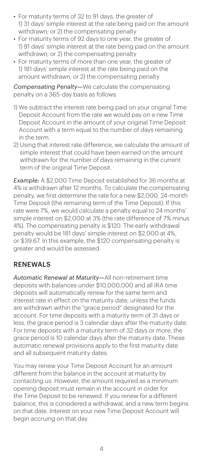- For maturity terms of 32 to 91 days, the greater of 1) 31 days' simple interest at the rate being paid on the amount withdrawn; or 2) the compensating penalty
- For maturity terms of 92 days to one year, the greater of 1) 91 days' simple interest at the rate being paid on the amount withdrawn; or 2) the compensating penalty
- For maturity terms of more than one year, the greater of 1) 181 days' simple interest at the rate being paid on the amount withdrawn; or 2) the compensating penalty

*Compensating Penalty—*We calculate the compensating penalty on a 365-day basis as follows:

- 1) We subtract the interest rate being paid on your original Time Deposit Account from the rate we would pay on a new Time Deposit Account in the amount of your original Time Deposit Account with a term equal to the number of days remaining in the term.
- 2) Using that interest rate difference, we calculate the amount of simple interest that could have been earned on the amount withdrawn for the number of days remaining in the current term of the original Time Deposit.

*Example:* A \$2,000 Time Deposit established for 36 months at 4% is withdrawn after 12 months. To calculate the compensating penalty, we first determine the rate for a new \$2,000, 24-month Time Deposit (the remaining term of the Time Deposit). If this rate were 7%, we would calculate a penalty equal to 24 months' simple interest on \$2,000 at 3% (the rate difference of 7% minus 4%). The compensating penalty is \$120. The early withdrawal penalty would be 181 days' simple interest on \$2,000 at 4%, or \$39.67. In this example, the \$120 compensating penalty is greater and would be assessed.

## RENEWALS

*Automatic Renewal at Maturity—*All non-retirement time deposits with balances under \$10,000,000 and all IRA time deposits will automatically renew for the same term and interest rate in effect on the maturity date, unless the funds are withdrawn within the "grace period" designated for the account. For time deposits with a maturity term of 31 days or less, the grace period is 3 calendar days after the maturity date. For time deposits with a maturity term of 32 days or more, the grace period is 10 calendar days after the maturity date. These automatic renewal provisions apply to the first maturity date and all subsequent maturity dates.

You may renew your Time Deposit Account for an amount different from the balance in the account at maturity by contacting us. However, the amount required as a minimum opening deposit must remain in the account in order for the Time Deposit to be renewed. If you renew for a different balance, this is considered a withdrawal, and a new term begins on that date. Interest on your new Time Deposit Account will begin accruing on that day.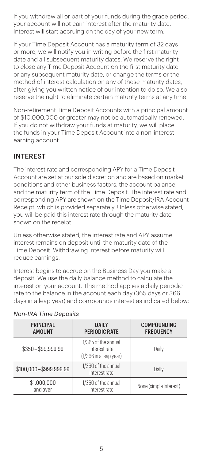If you withdraw all or part of your funds during the grace period, your account will not earn interest after the maturity date. Interest will start accruing on the day of your new term.

If your Time Deposit Account has a maturity term of 32 days or more, we will notify you in writing before the first maturity date and all subsequent maturity dates. We reserve the right to close any Time Deposit Account on the first maturity date or any subsequent maturity date, or change the terms or the method of interest calculation on any of these maturity dates, after giving you written notice of our intention to do so. We also reserve the right to eliminate certain maturity terms at any time.

Non-retirement Time Deposit Accounts with a principal amount of \$10,000,000 or greater may not be automatically renewed. If you do not withdraw your funds at maturity, we will place the funds in your Time Deposit Account into a non-interest earning account.

## INTEREST

The interest rate and corresponding APY for a Time Deposit Account are set at our sole discretion and are based on market conditions and other business factors, the account balance, and the maturity term of the Time Deposit. The interest rate and corresponding APY are shown on the Time Deposit/IRA Account Receipt, which is provided separately. Unless otherwise stated, you will be paid this interest rate through the maturity date shown on the receipt.

Unless otherwise stated, the interest rate and APY assume interest remains on deposit until the maturity date of the Time Deposit. Withdrawing interest before maturity will reduce earnings.

Interest begins to accrue on the Business Day you make a deposit. We use the daily balance method to calculate the interest on your account. This method applies a daily periodic rate to the balance in the account each day (365 days or 366 days in a leap year) and compounds interest as indicated below:

| <b>PRINCIPAL</b><br><b>AMOUNT</b> | DAILY<br><b>PERIODIC RATE</b>                                    | <b>COMPOUNDING</b><br><b>FREQUENCY</b> |
|-----------------------------------|------------------------------------------------------------------|----------------------------------------|
| \$350-\$99,999.99                 | 1/365 of the annual<br>interest rate<br>$(1/366$ in a leap year) | Daily                                  |
| \$100,000-\$999,999.99            | 1/360 of the annual<br>interest rate                             | Daily                                  |
| \$1,000,000<br>and over           | 1/360 of the annual<br>interest rate                             | None (simple interest)                 |

#### *Non-IRA Time Deposits*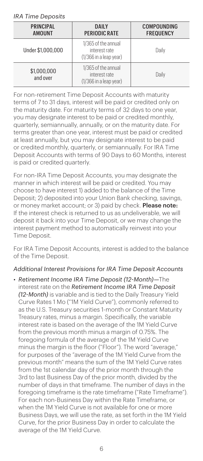#### *IRA Time Deposits*

| <b>PRINCIPAL</b><br><b>AMOUNT</b> | DAILY<br>PERIODIC RATE                                           | COMPOUNDING<br><b>FREQUENCY</b> |
|-----------------------------------|------------------------------------------------------------------|---------------------------------|
| Under \$1,000,000                 | 1/365 of the annual<br>interest rate<br>$(1/366$ in a leap year) | Daily                           |
| \$1,000,000<br>and over           | 1/365 of the annual<br>interest rate<br>$(1/366$ in a leap year) | Daily                           |

For non-retirement Time Deposit Accounts with maturity terms of 7 to 31 days, interest will be paid or credited only on the maturity date. For maturity terms of 32 days to one year, you may designate interest to be paid or credited monthly, quarterly, semiannually, annually, or on the maturity date. For terms greater than one year, interest must be paid or credited at least annually, but you may designate interest to be paid or credited monthly, quarterly, or semiannually. For IRA Time Deposit Accounts with terms of 90 Days to 60 Months, interest is paid or credited quarterly.

For non-IRA Time Deposit Accounts, you may designate the manner in which interest will be paid or credited. You may choose to have interest 1) added to the balance of the Time Deposit; 2) deposited into your Union Bank checking, savings, or money market account; or 3) paid by check. Please note: If the interest check is returned to us as undeliverable, we will deposit it back into your Time Deposit, or we may change the interest payment method to automatically reinvest into your Time Deposit.

For IRA Time Deposit Accounts, interest is added to the balance of the Time Deposit.

#### *Additional Interest Provisions for IRA Time Deposit Accounts*

*• Retirement Income IRA Time Deposit (12-Month)—*The interest rate on the *Retirement Income IRA Time Deposit (12-Month)* is variable and is tied to the Daily Treasury Yield Curve Rates 1 Mo ("1M Yield Curve"), commonly referred to as the U.S. Treasury securities 1-month or Constant Maturity Treasury rates, minus a margin. Specifically, the variable interest rate is based on the average of the 1M Yield Curve from the previous month minus a margin of 0.75%. The foregoing formula of the average of the 1M Yield Curve minus the margin is the floor ("Floor"). The word "average," for purposes of the "average of the 1M Yield Curve from the previous month" means the sum of the 1M Yield Curve rates from the 1st calendar day of the prior month through the 3rd to last Business Day of the prior month, divided by the number of days in that timeframe. The number of days in the foregoing timeframe is the rate timeframe ("Rate Timeframe"). For each non-Business Day within the Rate Timeframe, or when the 1M Yield Curve is not available for one or more Business Days, we will use the rate, as set forth in the 1M Yield Curve, for the prior Business Day in order to calculate the average of the 1M Yield Curve.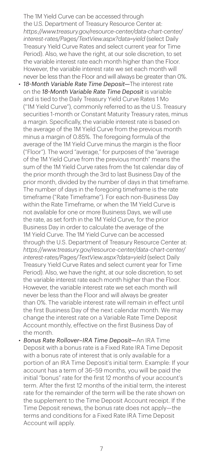The 1M Yield Curve can be accessed through the U.S. Department of Treasury Resource Center at: *https://www.treasury.gov/resource-center/data-chart-center/ interest-rates/Pages/TextView.aspx?data=yield* (select Daily Treasury Yield Curve Rates and select current year for Time Period). Also, we have the right, at our sole discretion, to set the variable interest rate each month higher than the Floor. However, the variable interest rate we set each month will never be less than the Floor and will always be greater than 0%.

- *18-Month Variable Rate Time Deposit—*The interest rate on the *18-Month Variable Rate Time Deposit* is variable and is tied to the Daily Treasury Yield Curve Rates 1 Mo ("1M Yield Curve"), commonly referred to as the U.S. Treasury securities 1-month or Constant Maturity Treasury rates, minus a margin. Specifically, the variable interest rate is based on the average of the 1M Yield Curve from the previous month minus a margin of 0.85%. The foregoing formula of the average of the 1M Yield Curve minus the margin is the floor ("Floor"). The word "average," for purposes of the "average of the 1M Yield Curve from the previous month" means the sum of the 1M Yield Curve rates from the 1st calendar day of the prior month through the 3rd to last Business Day of the prior month, divided by the number of days in that timeframe. The number of days in the foregoing timeframe is the rate timeframe ("Rate Timeframe"). For each non-Business Day within the Rate Timeframe, or when the 1M Yield Curve is not available for one or more Business Days, we will use the rate, as set forth in the 1M Yield Curve, for the prior Business Day in order to calculate the average of the 1M Yield Curve. The 1M Yield Curve can be accessed through the U.S. Department of Treasury Resource Center at: *https://www.treasury.gov/resource-center/data-chart-center/ interest-rates/Pages/TextView.aspx?data=yield* (select Daily Treasury Yield Curve Rates and select current year for Time Period). Also, we have the right, at our sole discretion, to set the variable interest rate each month higher than the Floor. However, the variable interest rate we set each month will never be less than the Floor and will always be greater than 0%. The variable interest rate will remain in effect until the first Business Day of the next calendar month. We may change the interest rate on a Variable Rate Time Deposit Account monthly, effective on the first Business Day of the month.
- *Bonus Rate Rollover–IRA Time Deposit—*An IRA Time Deposit with a bonus rate is a Fixed Rate IRA Time Deposit with a bonus rate of interest that is only available for a portion of an IRA Time Deposit's initial term. Example: If your account has a term of 36–59 months, you will be paid the initial "bonus" rate for the first 12 months of your account's term. After the first 12 months of the initial term, the interest rate for the remainder of the term will be the rate shown on the supplement to the Time Deposit Account receipt. If the Time Deposit renews, the bonus rate does not apply—the terms and conditions for a Fixed Rate IRA Time Deposit Account will apply.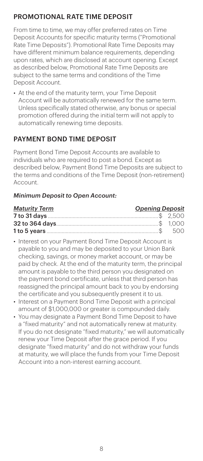# PROMOTIONAL RATE TIME DEPOSIT

From time to time, we may offer preferred rates on Time Deposit Accounts for specific maturity terms ("Promotional Rate Time Deposits"). Promotional Rate Time Deposits may have different minimum balance requirements, depending upon rates, which are disclosed at account opening. Except as described below, Promotional Rate Time Deposits are subject to the same terms and conditions of the Time Deposit Account.

*•* At the end of the maturity term, your Time Deposit Account will be automatically renewed for the same term. Unless specifically stated otherwise, any bonus or special promotion offered during the initial term will not apply to automatically renewing time deposits.

# PAYMENT BOND TIME DEPOSIT

Payment Bond Time Deposit Accounts are available to individuals who are required to post a bond. Except as described below, Payment Bond Time Deposits are subject to the terms and conditions of the Time Deposit (non-retirement) Account.

#### *Minimum Deposit to Open Account:*

| <b>Maturity Term</b> | <b>Opening Deposit</b> |  |
|----------------------|------------------------|--|
|                      |                        |  |
|                      |                        |  |
|                      |                        |  |

- Interest on your Payment Bond Time Deposit Account is payable to you and may be deposited to your Union Bank checking, savings, or money market account, or may be paid by check. At the end of the maturity term, the principal amount is payable to the third person you designated on the payment bond certificate, unless that third person has reassigned the principal amount back to you by endorsing the certificate and you subsequently present it to us.
- Interest on a Payment Bond Time Deposit with a principal amount of \$1,000,000 or greater is compounded daily.
- You may designate a Payment Bond Time Deposit to have a "fixed maturity" and not automatically renew at maturity. If you do not designate "fixed maturity," we will automatically renew your Time Deposit after the grace period. If you designate "fixed maturity" and do not withdraw your funds at maturity, we will place the funds from your Time Deposit Account into a non-interest earning account.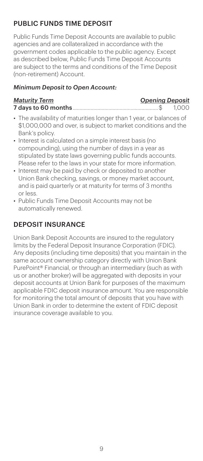# PUBLIC FUNDS TIME DEPOSIT

Public Funds Time Deposit Accounts are available to public agencies and are collateralized in accordance with the government codes applicable to the public agency. Except as described below, Public Funds Time Deposit Accounts are subject to the terms and conditions of the Time Deposit (non-retirement) Account.

#### *Minimum Deposit to Open Account:*

#### *Maturity Term Opening Deposit* 7 days to 60 months..............................................................\$ 1,000

- The availability of maturities longer than 1 year, or balances of \$1,000,000 and over, is subject to market conditions and the Bank's policy.
- Interest is calculated on a simple interest basis (no compounding), using the number of days in a year as stipulated by state laws governing public funds accounts. Please refer to the laws in your state for more information.
- Interest may be paid by check or deposited to another Union Bank checking, savings, or money market account, and is paid quarterly or at maturity for terms of 3 months or less.
- Public Funds Time Deposit Accounts may not be automatically renewed.

# DEPOSIT INSURANCE

Union Bank Deposit Accounts are insured to the regulatory limits by the Federal Deposit Insurance Corporation (FDIC). Any deposits (including time deposits) that you maintain in the same account ownership category directly with Union Bank PurePoint® Financial, or through an intermediary (such as with us or another broker) will be aggregated with deposits in your deposit accounts at Union Bank for purposes of the maximum applicable FDIC deposit insurance amount. You are responsible for monitoring the total amount of deposits that you have with Union Bank in order to determine the extent of FDIC deposit insurance coverage available to you.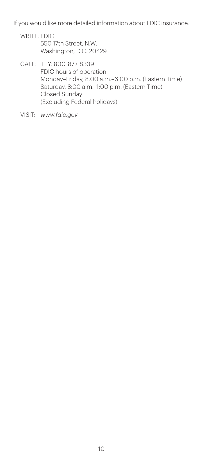If you would like more detailed information about FDIC insurance:

- WRITE: FDIC 550 17th Street, N.W. Washington, D.C. 20429
- CALL: TTY: 800-877-8339 FDIC hours of operation: Monday–Friday, 8:00 a.m.–6:00 p.m. (Eastern Time) Saturday, 8:00 a.m.–1:00 p.m. (Eastern Time) Closed Sunday (Excluding Federal holidays)
- VISIT: *www.fdic.gov*